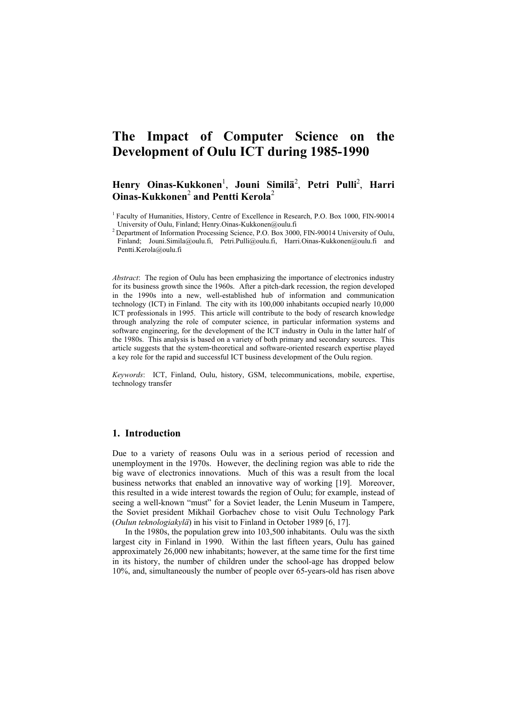# **The Impact of Computer Science on the Development of Oulu ICT during 1985-1990**

## **Henry Oinas-Kukkonen**<sup>1</sup> , **Jouni Similä**<sup>2</sup> , **Petri Pulli**<sup>2</sup> , **Harri Oinas-Kukkonen**<sup>2</sup> **and Pentti Kerola**<sup>2</sup>

<sup>1</sup> Faculty of Humanities, History, Centre of Excellence in Research, P.O. Box 1000, FIN-90014

University of Oulu, Finland; Henry.Oinas-Kukkonen@oulu.fi<br>
<sup>2</sup> Department of Information Processing Science, P.O. Box 3000, FIN-90014 University of Oulu, Finland; Jouni.Simila@oulu.fi, Petri.Pulli@oulu.fi, Harri.Oinas-Kukkonen@oulu.fi and Pentti.Kerola@oulu.fi

*Abstract*: The region of Oulu has been emphasizing the importance of electronics industry for its business growth since the 1960s. After a pitch-dark recession, the region developed in the 1990s into a new, well-established hub of information and communication technology (ICT) in Finland. The city with its 100,000 inhabitants occupied nearly 10,000 ICT professionals in 1995. This article will contribute to the body of research knowledge through analyzing the role of computer science, in particular information systems and software engineering, for the development of the ICT industry in Oulu in the latter half of the 1980s. This analysis is based on a variety of both primary and secondary sources. This article suggests that the system-theoretical and software-oriented research expertise played a key role for the rapid and successful ICT business development of the Oulu region.

*Keywords*: ICT, Finland, Oulu, history, GSM, telecommunications, mobile, expertise, technology transfer

## **1. Introduction**

Due to a variety of reasons Oulu was in a serious period of recession and unemployment in the 1970s. However, the declining region was able to ride the big wave of electronics innovations. Much of this was a result from the local business networks that enabled an innovative way of working [19]. Moreover, this resulted in a wide interest towards the region of Oulu; for example, instead of seeing a well-known "must" for a Soviet leader, the Lenin Museum in Tampere, the Soviet president Mikhail Gorbachev chose to visit Oulu Technology Park (*Oulun teknologiakylä*) in his visit to Finland in October 1989 [6, 17].

<span id="page-0-6"></span><span id="page-0-5"></span><span id="page-0-4"></span><span id="page-0-3"></span><span id="page-0-2"></span><span id="page-0-1"></span><span id="page-0-0"></span>In the 1980s, the population grew into 103,500 inhabitants. Oulu was the sixth largest city in Finland in 1990. Within the last fifteen years, Oulu has gained approximately 26,000 new inhabitants; however, at the same time for the first time in its history, the number of children under the school-age has dropped below 10%, and, simultaneously the number of people over 65-years-old has risen above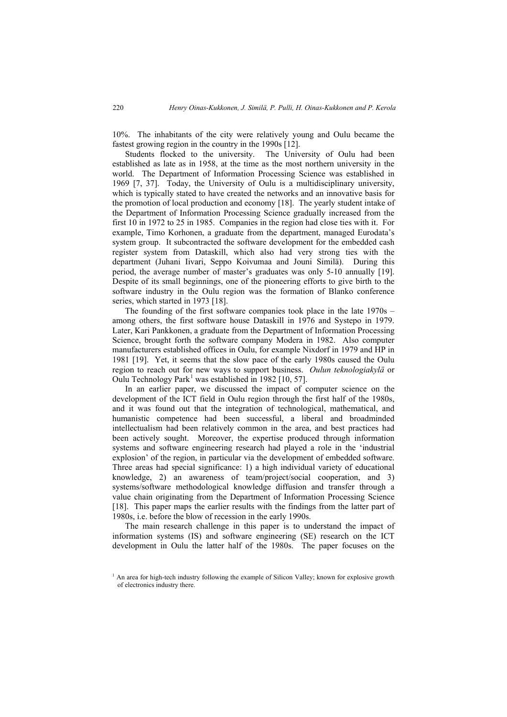10%. The inhabitants of the city were relatively young and Oulu became the fastest growing region in the country in the 1990s [12].

Students flocked to the university. The University of Oulu had been established as late as in 1958, at the time as the most northern university in the world. The Department of Information Processing Science was established in 1969 [7, 37]. Today, the University of Oulu is a multidisciplinary university, which is typically stated to have created the networks and an innovative basis for the promotion of local production and economy [18]. The yearly student intake of the Department of Information Processing Science gradually increased from the first 10 in 1972 to 25 in 1985. Companies in the region had close ties with it. For example, Timo Korhonen, a graduate from the department, managed Eurodata's system group. It subcontracted the software development for the embedded cash register system from Dataskill, which also had very strong ties with the department (Juhani Iivari, Seppo Koivumaa and Jouni Similä). During this period, the average number of master's graduates was only 5-10 annually [19]. Despite of its small beginnings, one of the pioneering efforts to give birth to the software industry in the Oulu region was the formation of Blanko conference series, which started in 1973 [18].

The founding of the first software companies took place in the late 1970s – among others, the first software house Dataskill in 1976 and Systepo in 1979. Later, Kari Pankkonen, a graduate from the Department of Information Processing Science, brought forth the software company Modera in 1982. Also computer manufacturers established offices in Oulu, for example Nixdorf in 1979 and HP in 1981 [19]. Yet, it seems that the slow pace of the early 1980s caused the Oulu region to reach out for new ways to support business. *Oulun teknologiakylä* or Oulu Technology Park<sup>[1](#page-0-0)</sup> was established in 1982 [10, 57].

In an earlier paper, we discussed the impact of computer science on the development of the ICT field in Oulu region through the first half of the 1980s, and it was found out that the integration of technological, mathematical, and humanistic competence had been successful, a liberal and broadminded intellectualism had been relatively common in the area, and best practices had been actively sought. Moreover, the expertise produced through information systems and software engineering research had played a role in the 'industrial explosion' of the region, in particular via the development of embedded software. Three areas had special significance: 1) a high individual variety of educational knowledge, 2) an awareness of team/project/social cooperation, and 3) systems/software methodological knowledge diffusion and transfer through a value chain originating from the Department of Information Processing Science [18]. This paper maps the earlier results with the findings from the latter part of 1980s, i.e. before the blow of recession in the early 1990s.

The main research challenge in this paper is to understand the impact of information systems (IS) and software engineering (SE) research on the ICT development in Oulu the latter half of the 1980s. The paper focuses on the

<sup>&</sup>lt;sup>1</sup> An area for high-tech industry following the example of Silicon Valley; known for explosive growth of electronics industry there.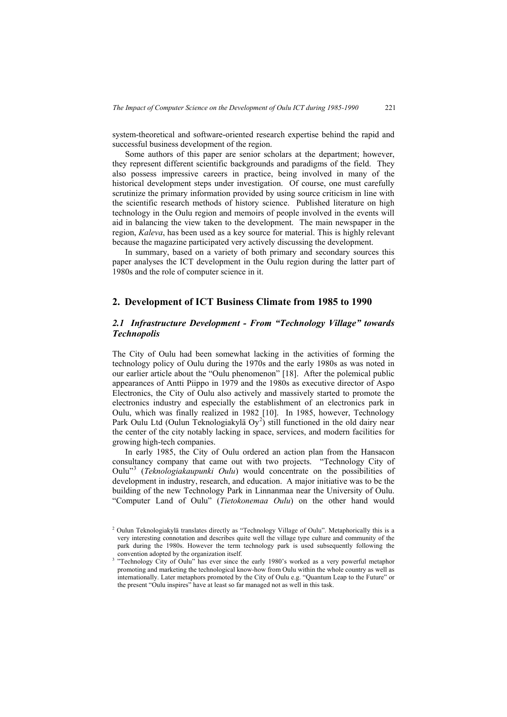system-theoretical and software-oriented research expertise behind the rapid and successful business development of the region.

Some authors of this paper are senior scholars at the department; however, they represent different scientific backgrounds and paradigms of the field. They also possess impressive careers in practice, being involved in many of the historical development steps under investigation. Of course, one must carefully scrutinize the primary information provided by using source criticism in line with the scientific research methods of history science. Published literature on high technology in the Oulu region and memoirs of people involved in the events will aid in balancing the view taken to the development. The main newspaper in the region, *Kaleva*, has been used as a key source for material. This is highly relevant because the magazine participated very actively discussing the development.

In summary, based on a variety of both primary and secondary sources this paper analyses the ICT development in the Oulu region during the latter part of 1980s and the role of computer science in it.

## **2. Development of ICT Business Climate from 1985 to 1990**

### *2.1 Infrastructure Development - From "Technology Village" towards Technopolis*

The City of Oulu had been somewhat lacking in the activities of forming the technology policy of Oulu during the 1970s and the early 1980s as was noted in our earlier article about the "Oulu phenomenon" [18]. After the polemical public appearances of Antti Piippo in 1979 and the 1980s as executive director of Aspo Electronics, the City of Oulu also actively and massively started to promote the electronics industry and especially the establishment of an electronics park in Oulu, which was finally realized in 1982 [10]. In 1985, however, Technology Park Oulu Ltd (Oulun Teknologiakylä  $Oy^2$  $Oy^2$ ) still functioned in the old dairy near the center of the city notably lacking in space, services, and modern facilities for growing high-tech companies.

In early 1985, the City of Oulu ordered an action plan from the Hansacon consultancy company that came out with two projects. "Technology City of Oulu"<sup>[3](#page-0-2)</sup> (*Teknologiakaupunki Oulu*) would concentrate on the possibilities of development in industry, research, and education. A major initiative was to be the building of the new Technology Park in Linnanmaa near the University of Oulu. "Computer Land of Oulu" (*Tietokonemaa Oulu*) on the other hand would

<sup>&</sup>lt;sup>2</sup> Oulun Teknologiakylä translates directly as "Technology Village of Oulu". Metaphorically this is a very interesting connotation and describes quite well the village type culture and community of the park during the 1980s. However the term technology park is used subsequently following the

convention adopted by the organization itself. 3 "Technology City of Oulu" has ever since the early 1980's worked as a very powerful metaphor promoting and marketing the technological know-how from Oulu within the whole country as well as internationally. Later metaphors promoted by the City of Oulu e.g. "Quantum Leap to the Future" or the present "Oulu inspires" have at least so far managed not as well in this task.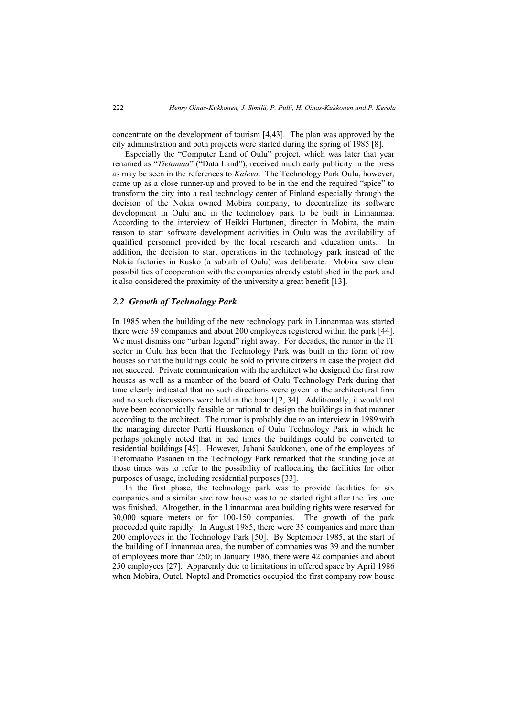concentrate on the development of tourism [4,43]. The plan was approved by the city administration and both projects were started during the spring of 1985 [8].

Especially the "Computer Land of Oulu" project, which was later that year renamed as "*Tietomaa*" ("Data Land"), received much early publicity in the press as may be seen in the references to *Kaleva*. The Technology Park Oulu, however, came up as a close runner-up and proved to be in the end the required "spice" to transform the city into a real technology center of Finland especially through the decision of the Nokia owned Mobira company, to decentralize its software development in Oulu and in the technology park to be built in Linnanmaa. According to the interview of Heikki Huttunen, director in Mobira, the main reason to start software development activities in Oulu was the availability of qualified personnel provided by the local research and education units. In addition, the decision to start operations in the technology park instead of the Nokia factories in Rusko (a suburb of Oulu) was deliberate. Mobira saw clear possibilities of cooperation with the companies already established in the park and it also considered the proximity of the university a great benefit [13].

#### *2.2 Growth of Technology Park*

In 1985 when the building of the new technology park in Linnanmaa was started there were 39 companies and about 200 employees registered within the park [44]. We must dismiss one "urban legend" right away. For decades, the rumor in the IT sector in Oulu has been that the Technology Park was built in the form of row houses so that the buildings could be sold to private citizens in case the project did not succeed. Private communication with the architect who designed the first row houses as well as a member of the board of Oulu Technology Park during that time clearly indicated that no such directions were given to the architectural firm and no such discussions were held in the board [2, 34]. Additionally, it would not have been economically feasible or rational to design the buildings in that manner according to the architect. The rumor is probably due to an interview in 1989 with the managing director Pertti Huuskonen of Oulu Technology Park in which he perhaps jokingly noted that in bad times the buildings could be converted to residential buildings [45]. However, Juhani Saukkonen, one of the employees of Tietomaatio Pasanen in the Technology Park remarked that the standing joke at those times was to refer to the possibility of reallocating the facilities for other purposes of usage, including residential purposes [33].

In the first phase, the technology park was to provide facilities for six companies and a similar size row house was to be started right after the first one was finished. Altogether, in the Linnanmaa area building rights were reserved for 30,000 square meters or for 100-150 companies. The growth of the park proceeded quite rapidly. In August 1985, there were 35 companies and more than 200 employees in the Technology Park [50]. By September 1985, at the start of the building of Linnanmaa area, the number of companies was 39 and the number of employees more than 250; in January 1986, there were 42 companies and about 250 employees [27]. Apparently due to limitations in offered space by April 1986 when Mobira, Outel, Noptel and Prometics occupied the first company row house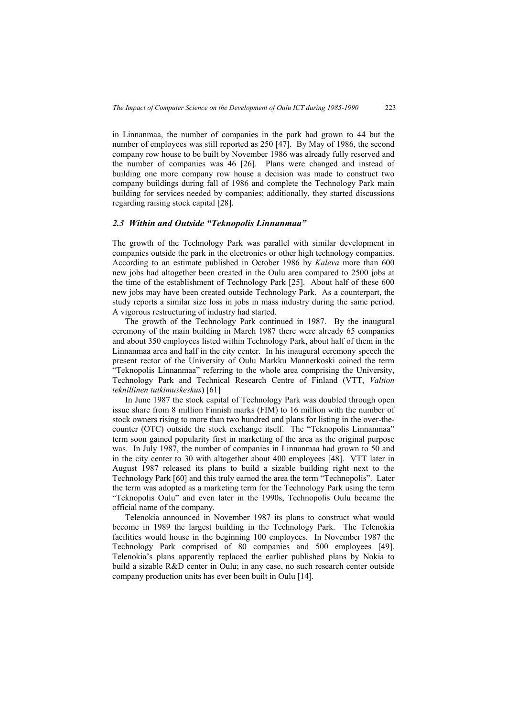in Linnanmaa, the number of companies in the park had grown to 44 but the number of employees was still reported as 250 [47]. By May of 1986, the second company row house to be built by November 1986 was already fully reserved and the number of companies was 46 [26]. Plans were changed and instead of building one more company row house a decision was made to construct two company buildings during fall of 1986 and complete the Technology Park main building for services needed by companies; additionally, they started discussions regarding raising stock capital [28].

#### *2.3 Within and Outside "Teknopolis Linnanmaa"*

The growth of the Technology Park was parallel with similar development in companies outside the park in the electronics or other high technology companies. According to an estimate published in October 1986 by *Kaleva* more than 600 new jobs had altogether been created in the Oulu area compared to 2500 jobs at the time of the establishment of Technology Park [25]. About half of these 600 new jobs may have been created outside Technology Park. As a counterpart, the study reports a similar size loss in jobs in mass industry during the same period. A vigorous restructuring of industry had started.

The growth of the Technology Park continued in 1987. By the inaugural ceremony of the main building in March 1987 there were already 65 companies and about 350 employees listed within Technology Park, about half of them in the Linnanmaa area and half in the city center. In his inaugural ceremony speech the present rector of the University of Oulu Markku Mannerkoski coined the term "Teknopolis Linnanmaa" referring to the whole area comprising the University, Technology Park and Technical Research Centre of Finland (VTT, *Valtion teknillinen tutkimuskeskus*) [61]

In June 1987 the stock capital of Technology Park was doubled through open issue share from 8 million Finnish marks (FIM) to 16 million with the number of stock owners rising to more than two hundred and plans for listing in the over-thecounter (OTC) outside the stock exchange itself. The "Teknopolis Linnanmaa" term soon gained popularity first in marketing of the area as the original purpose was. In July 1987, the number of companies in Linnanmaa had grown to 50 and in the city center to 30 with altogether about 400 employees [48]. VTT later in August 1987 released its plans to build a sizable building right next to the Technology Park [60] and this truly earned the area the term "Technopolis". Later the term was adopted as a marketing term for the Technology Park using the term "Teknopolis Oulu" and even later in the 1990s, Technopolis Oulu became the official name of the company.

Telenokia announced in November 1987 its plans to construct what would become in 1989 the largest building in the Technology Park. The Telenokia facilities would house in the beginning 100 employees. In November 1987 the Technology Park comprised of 80 companies and 500 employees [49]. Telenokia's plans apparently replaced the earlier published plans by Nokia to build a sizable R&D center in Oulu; in any case, no such research center outside company production units has ever been built in Oulu [14].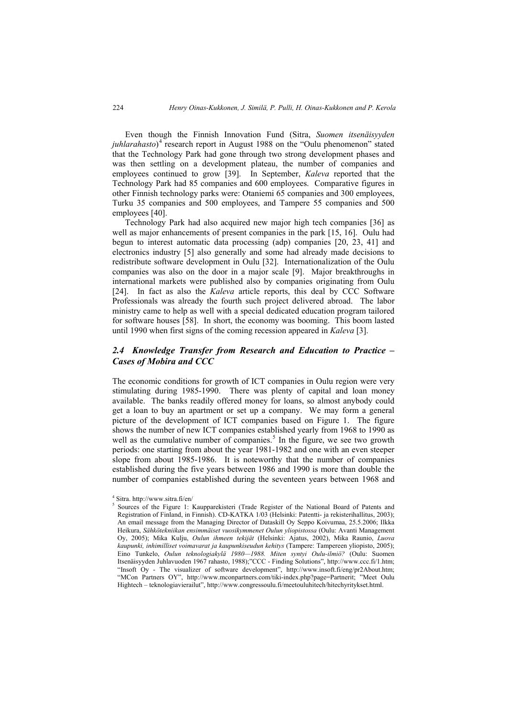Even though the Finnish Innovation Fund (Sitra, *Suomen itsenäisyyden*  juhlarahasto)<sup>[4](#page-0-3)</sup> research report in August 1988 on the "Oulu phenomenon" stated that the Technology Park had gone through two strong development phases and was then settling on a development plateau, the number of companies and employees continued to grow [39]. In September, *Kaleva* reported that the Technology Park had 85 companies and 600 employees. Comparative figures in other Finnish technology parks were: Otaniemi 65 companies and 300 employees, Turku 35 companies and 500 employees, and Tampere 55 companies and 500 employees [40].

Technology Park had also acquired new major high tech companies [36] as well as major enhancements of present companies in the park [15, 16]. Oulu had begun to interest automatic data processing (adp) companies [20, 23, 41] and electronics industry [5] also generally and some had already made decisions to redistribute software development in Oulu [32]. Internationalization of the Oulu companies was also on the door in a major scale [9]. Major breakthroughs in international markets were published also by companies originating from Oulu [24]. In fact as also the *Kaleva* article reports, this deal by CCC Software Professionals was already the fourth such project delivered abroad. The labor ministry came to help as well with a special dedicated education program tailored for software houses [58]. In short, the economy was booming. This boom lasted until 1990 when first signs of the coming recession appeared in *Kaleva* [3].

## *2.4 Knowledge Transfer from Research and Education to Practice – Cases of Mobira and CCC*

The economic conditions for growth of ICT companies in Oulu region were very stimulating during 1985-1990. There was plenty of capital and loan money available. The banks readily offered money for loans, so almost anybody could get a loan to buy an apartment or set up a company. We may form a general picture of the development of ICT companies based on Figure 1. The figure shows the number of new ICT companies established yearly from 1968 to 1990 as well as the cumulative number of companies.<sup>[5](#page-0-4)</sup> In the figure, we see two growth periods: one starting from about the year 1981-1982 and one with an even steeper slope from about 1985-1986. It is noteworthy that the number of companies established during the five years between 1986 and 1990 is more than double the number of companies established during the seventeen years between 1968 and

<sup>4</sup> Sitra. http://www.sitra.fi/en/

<sup>5</sup> Sources of the Figure 1: Kaupparekisteri (Trade Register of the National Board of Patents and Registration of Finland, in Finnish). CD-KATKA 1/03 (Helsinki: Patentti- ja rekisterihallitus, 2003); An email message from the Managing Director of Dataskill Oy Seppo Koivumaa, 25.5.2006; Ilkka Heikura, *Sähkötekniikan ensimmäiset vuosikymmenet Oulun yliopistossa* (Oulu: Avanti Management Oy, 2005); Mika Kulju, *Oulun ihmeen tekijät* (Helsinki: Ajatus, 2002), Mika Raunio, *Luova kaupunki, inhimilliset voimavarat ja kaupunkiseudun kehitys* (Tampere: Tampereen yliopisto, 2005); Eino Tunkelo, *Oulun teknologiakylä 1980—1988. Miten syntyi Oulu-ilmiö?* (Oulu: Suomen Itsenäisyyden Juhlavuoden 1967 rahasto, 1988);"CCC - Finding Solutions", http://www.ccc.fi/1.htm; "Insoft Oy - The visualizer of software development", http://www.insoft.fi/eng/pr2About.htm; "MCon Partners OY", http://www.mconpartners.com/tiki-index.php?page=Partnerit; "Meet Oulu Hightech – teknologiavierailut", http://www.congressoulu.fi/meetouluhitech/hitechyritykset.html.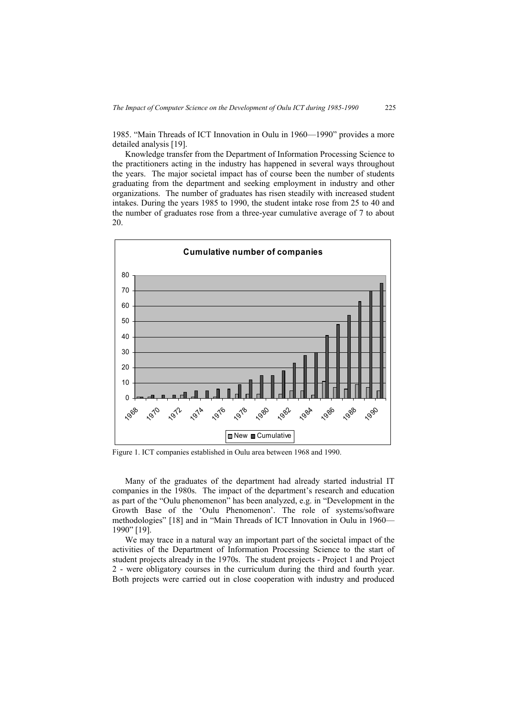1985. "Main Threads of ICT Innovation in Oulu in 1960—1990" provides a more detailed analysis [19].

Knowledge transfer from the Department of Information Processing Science to the practitioners acting in the industry has happened in several ways throughout the years. The major societal impact has of course been the number of students graduating from the department and seeking employment in industry and other organizations. The number of graduates has risen steadily with increased student intakes. During the years 1985 to 1990, the student intake rose from 25 to 40 and the number of graduates rose from a three-year cumulative average of 7 to about 20.



Figure 1. ICT companies established in Oulu area between 1968 and 1990.

Many of the graduates of the department had already started industrial IT companies in the 1980s. The impact of the department's research and education as part of the "Oulu phenomenon" has been analyzed, e.g. in "Development in the Growth Base of the 'Oulu Phenomenon'. The role of systems/software methodologies" [18] and in "Main Threads of ICT Innovation in Oulu in 1960— 1990" [19].

We may trace in a natural way an important part of the societal impact of the activities of the Department of Information Processing Science to the start of student projects already in the 1970s. The student projects - Project 1 and Project 2 - were obligatory courses in the curriculum during the third and fourth year. Both projects were carried out in close cooperation with industry and produced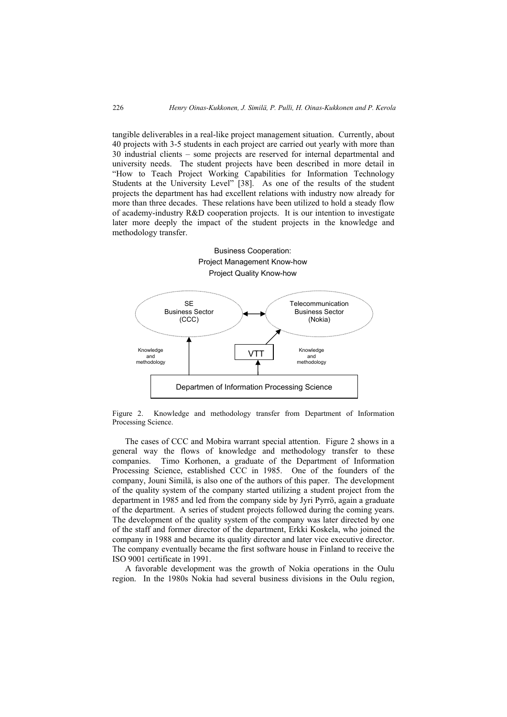tangible deliverables in a real-like project management situation. Currently, about 40 projects with 3-5 students in each project are carried out yearly with more than 30 industrial clients – some projects are reserved for internal departmental and university needs. The student projects have been described in more detail in "How to Teach Project Working Capabilities for Information Technology Students at the University Level" [38]. As one of the results of the student projects the department has had excellent relations with industry now already for more than three decades. These relations have been utilized to hold a steady flow of academy-industry R&D cooperation projects. It is our intention to investigate later more deeply the impact of the student projects in the knowledge and methodology transfer.



Figure 2. Knowledge and methodology transfer from Department of Information Processing Science.

The cases of CCC and Mobira warrant special attention. Figure 2 shows in a general way the flows of knowledge and methodology transfer to these companies. Timo Korhonen, a graduate of the Department of Information Processing Science, established CCC in 1985. One of the founders of the company, Jouni Similä, is also one of the authors of this paper. The development of the quality system of the company started utilizing a student project from the department in 1985 and led from the company side by Jyri Pyrrö, again a graduate of the department. A series of student projects followed during the coming years. The development of the quality system of the company was later directed by one of the staff and former director of the department, Erkki Koskela, who joined the company in 1988 and became its quality director and later vice executive director. The company eventually became the first software house in Finland to receive the ISO 9001 certificate in 1991.

A favorable development was the growth of Nokia operations in the Oulu region. In the 1980s Nokia had several business divisions in the Oulu region,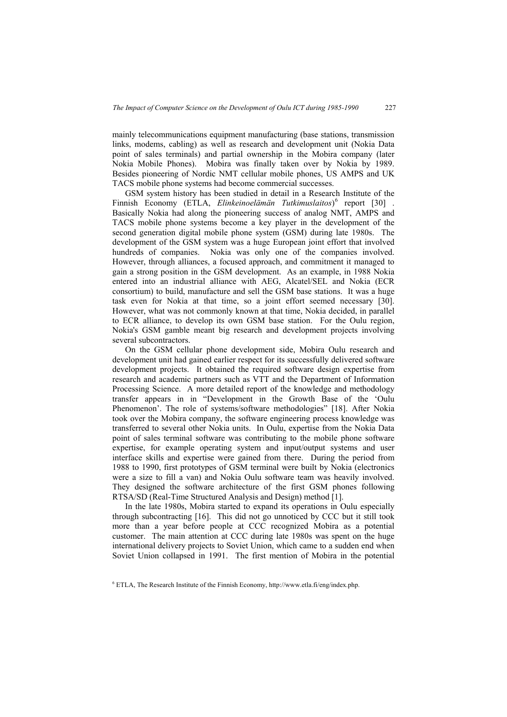mainly telecommunications equipment manufacturing (base stations, transmission links, modems, cabling) as well as research and development unit (Nokia Data point of sales terminals) and partial ownership in the Mobira company (later Nokia Mobile Phones). Mobira was finally taken over by Nokia by 1989. Besides pioneering of Nordic NMT cellular mobile phones, US AMPS and UK TACS mobile phone systems had become commercial successes.

GSM system history has been studied in detail in a Research Institute of the Finnish Economy (ETLA, *Elinkeinoelämän Tutkimuslaitos*)<sup>[6](#page-0-5)</sup> report [30]. Basically Nokia had along the pioneering success of analog NMT, AMPS and TACS mobile phone systems become a key player in the development of the second generation digital mobile phone system (GSM) during late 1980s. The development of the GSM system was a huge European joint effort that involved hundreds of companies. Nokia was only one of the companies involved. However, through alliances, a focused approach, and commitment it managed to gain a strong position in the GSM development. As an example, in 1988 Nokia entered into an industrial alliance with AEG, Alcatel/SEL and Nokia (ECR consortium) to build, manufacture and sell the GSM base stations. It was a huge task even for Nokia at that time, so a joint effort seemed necessary [30]. However, what was not commonly known at that time, Nokia decided, in parallel to ECR alliance, to develop its own GSM base station. For the Oulu region, Nokia's GSM gamble meant big research and development projects involving several subcontractors.

On the GSM cellular phone development side, Mobira Oulu research and development unit had gained earlier respect for its successfully delivered software development projects. It obtained the required software design expertise from research and academic partners such as VTT and the Department of Information Processing Science. A more detailed report of the knowledge and methodology transfer appears in in "Development in the Growth Base of the 'Oulu Phenomenon'. The role of systems/software methodologies" [18]. After Nokia took over the Mobira company, the software engineering process knowledge was transferred to several other Nokia units. In Oulu, expertise from the Nokia Data point of sales terminal software was contributing to the mobile phone software expertise, for example operating system and input/output systems and user interface skills and expertise were gained from there. During the period from 1988 to 1990, first prototypes of GSM terminal were built by Nokia (electronics were a size to fill a van) and Nokia Oulu software team was heavily involved. They designed the software architecture of the first GSM phones following RTSA/SD (Real-Time Structured Analysis and Design) method [1].

In the late 1980s, Mobira started to expand its operations in Oulu especially through subcontracting [16]. This did not go unnoticed by CCC but it still took more than a year before people at CCC recognized Mobira as a potential customer. The main attention at CCC during late 1980s was spent on the huge international delivery projects to Soviet Union, which came to a sudden end when Soviet Union collapsed in 1991. The first mention of Mobira in the potential

<sup>6</sup> ETLA, The Research Institute of the Finnish Economy, http://www.etla.fi/eng/index.php.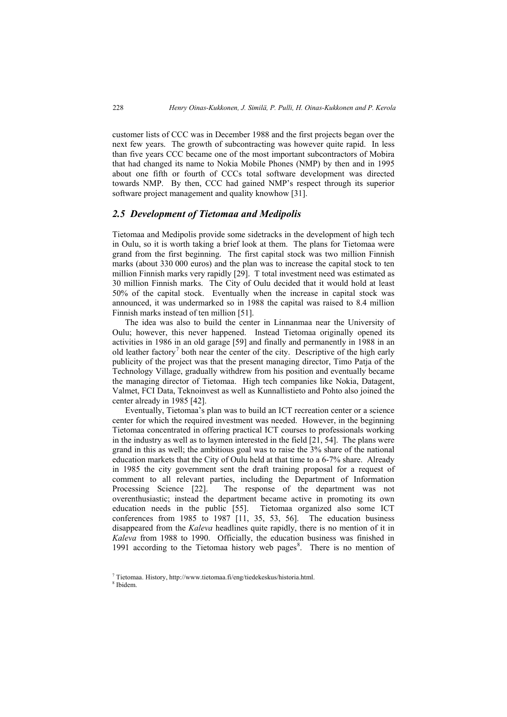customer lists of CCC was in December 1988 and the first projects began over the next few years. The growth of subcontracting was however quite rapid. In less than five years CCC became one of the most important subcontractors of Mobira that had changed its name to Nokia Mobile Phones (NMP) by then and in 1995 about one fifth or fourth of CCCs total software development was directed towards NMP. By then, CCC had gained NMP's respect through its superior software project management and quality knowhow [31].

## *2.5 Development of Tietomaa and Medipolis*

Tietomaa and Medipolis provide some sidetracks in the development of high tech in Oulu, so it is worth taking a brief look at them. The plans for Tietomaa were grand from the first beginning. The first capital stock was two million Finnish marks (about 330 000 euros) and the plan was to increase the capital stock to ten million Finnish marks very rapidly [29]. T total investment need was estimated as 30 million Finnish marks. The City of Oulu decided that it would hold at least 50% of the capital stock. Eventually when the increase in capital stock was announced, it was undermarked so in 1988 the capital was raised to 8.4 million Finnish marks instead of ten million [51].

The idea was also to build the center in Linnanmaa near the University of Oulu; however, this never happened. Instead Tietomaa originally opened its activities in 1986 in an old garage [59] and finally and permanently in 1988 in an old leather factory<sup>[7](#page-0-0)</sup> both near the center of the city. Descriptive of the high early publicity of the project was that the present managing director, Timo Patja of the Technology Village, gradually withdrew from his position and eventually became the managing director of Tietomaa. High tech companies like Nokia, Datagent, Valmet, FCI Data, Teknoinvest as well as Kunnallistieto and Pohto also joined the center already in 1985 [42].

Eventually, Tietomaa's plan was to build an ICT recreation center or a science center for which the required investment was needed. However, in the beginning Tietomaa concentrated in offering practical ICT courses to professionals working in the industry as well as to laymen interested in the field [21, 54]. The plans were grand in this as well; the ambitious goal was to raise the 3% share of the national education markets that the City of Oulu held at that time to a 6-7% share. Already in 1985 the city government sent the draft training proposal for a request of comment to all relevant parties, including the Department of Information Processing Science [22]. The response of the department was not overenthusiastic; instead the department became active in promoting its own education needs in the public [55]. Tietomaa organized also some ICT conferences from 1985 to 1987 [11, 35, 53, 56]. The education business disappeared from the *Kaleva* headlines quite rapidly, there is no mention of it in *Kaleva* from 1988 to 1990. Officially, the education business was finished in 1991 according to the Tietomaa history web pages<sup>[8](#page-0-6)</sup>. There is no mention of

<sup>7</sup> Tietomaa. History, http://www.tietomaa.fi/eng/tiedekeskus/historia.html.

<sup>8</sup> Ibidem.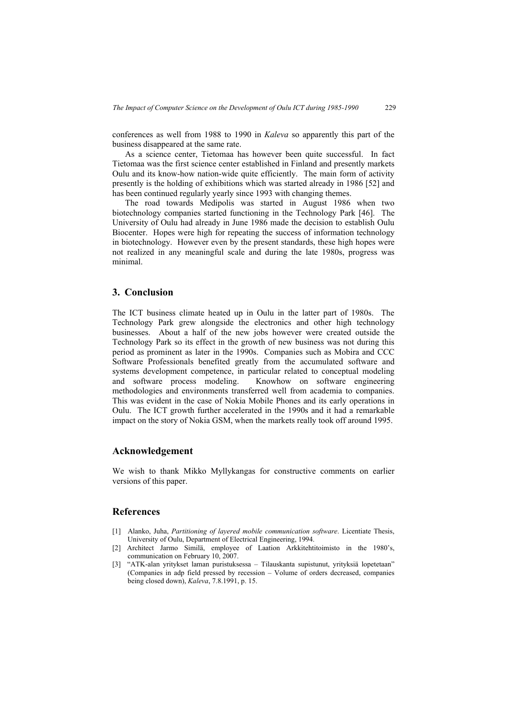conferences as well from 1988 to 1990 in *Kaleva* so apparently this part of the business disappeared at the same rate.

As a science center, Tietomaa has however been quite successful. In fact Tietomaa was the first science center established in Finland and presently markets Oulu and its know-how nation-wide quite efficiently. The main form of activity presently is the holding of exhibitions which was started already in 1986 [52] and has been continued regularly yearly since 1993 with changing themes.

The road towards Medipolis was started in August 1986 when two biotechnology companies started functioning in the Technology Park [46]. The University of Oulu had already in June 1986 made the decision to establish Oulu Biocenter. Hopes were high for repeating the success of information technology in biotechnology. However even by the present standards, these high hopes were not realized in any meaningful scale and during the late 1980s, progress was minimal.

#### **3. Conclusion**

The ICT business climate heated up in Oulu in the latter part of 1980s. The Technology Park grew alongside the electronics and other high technology businesses. About a half of the new jobs however were created outside the Technology Park so its effect in the growth of new business was not during this period as prominent as later in the 1990s. Companies such as Mobira and CCC Software Professionals benefited greatly from the accumulated software and systems development competence, in particular related to conceptual modeling and software process modeling. Knowhow on software engineering methodologies and environments transferred well from academia to companies. This was evident in the case of Nokia Mobile Phones and its early operations in Oulu. The ICT growth further accelerated in the 1990s and it had a remarkable impact on the story of Nokia GSM, when the markets really took off around 1995.

#### **Acknowledgement**

We wish to thank Mikko Myllykangas for constructive comments on earlier versions of this paper.

#### **References**

- [1] Alanko, Juha, *Partitioning of layered mobile communication software*. Licentiate Thesis, University of Oulu, Department of Electrical Engineering, 1994.
- [2] Architect Jarmo Similä, employee of Laation Arkkitehtitoimisto in the 1980's, communication on February 10, 2007.
- [3] "ATK-alan yritykset laman puristuksessa Tilauskanta supistunut, yrityksiä lopetetaan" (Companies in adp field pressed by recession – Volume of orders decreased, companies being closed down), *Kaleva*, 7.8.1991, p. 15.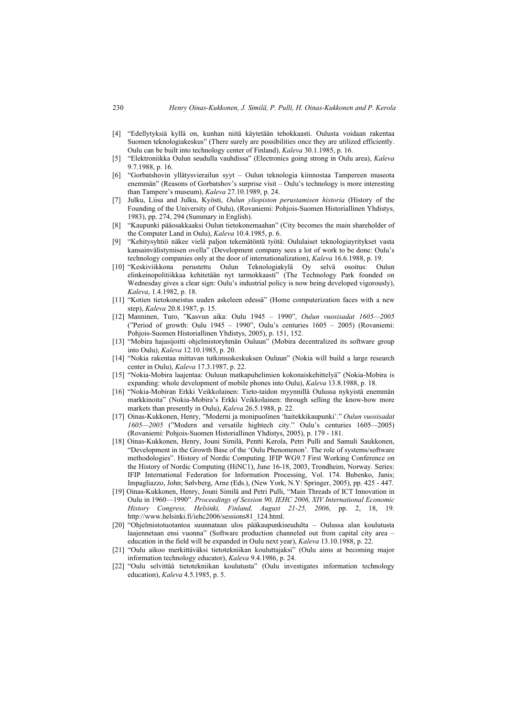- [4] "Edellytyksiä kyllä on, kunhan niitä käytetään tehokkaasti. Oulusta voidaan rakentaa Suomen teknologiakeskus" (There surely are possibilities once they are utilized efficiently. Oulu can be built into technology center of Finland), *Kaleva* 30.1.1985, p. 16.
- [5] "Elektroniikka Oulun seudulla vauhdissa" (Electronics going strong in Oulu area), *Kaleva* 9.7.1988, p. 16.
- [6] "Gorbatshovin yllätysvierailun syyt Oulun teknologia kiinnostaa Tampereen museota enemmän" (Reasons of Gorbatshov's surprise visit – Oulu's technology is more interesting than Tampere's museum), *Kaleva* 27.10.1989, p. 24.
- [7] Julku, Liisa and Julku, Kyösti, *Oulun yliopiston perustamisen historia* (History of the Founding of the University of Oulu), (Rovaniemi: Pohjois-Suomen Historiallinen Yhdistys, 1983), pp. 274, 294 (Summary in English).
- [8] "Kaupunki pääosakkaaksi Oulun tietokonemaahan" (City becomes the main shareholder of the Computer Land in Oulu), *Kaleva* 10.4.1985, p. 6.
- [9] "Kehitysyhtiö näkee vielä paljon tekemätöntä työtä: Oululaiset teknologiayritykset vasta kansainvälistymisen ovella" (Development company sees a lot of work to be done: Oulu's technology companies only at the door of internationalization), *Kaleva* 16.6.1988, p. 19.
- [10] "Keskiviikkona perustettu Oulun Teknologiakylä Oy selvä osoitus: Oulun elinkeinopolitiikkaa kehitetään nyt tarmokkaasti" (The Technology Park founded on Wednesday gives a clear sign: Oulu's industrial policy is now being developed vigorously), *Kaleva*, 1.4.1982, p. 18.
- [11] "Kotien tietokoneistus uuden askeleen edessä" (Home computerization faces with a new step), *Kaleva* 20.8.1987, p. 15.
- [12] Manninen, Turo, "Kasvun aika: Oulu 1945 1990", *Oulun vuosisadat 1605—2005* ("Period of growth: Oulu 1945 – 1990", Oulu's centuries 1605 – 2005) (Rovaniemi: Pohjois-Suomen Historiallinen Yhdistys, 2005), p. 151, 152.
- [13] "Mobira hajasijoitti ohjelmistoryhmän Ouluun" (Mobira decentralized its software group into Oulu), *Kaleva* 12.10.1985, p. 20.
- [14] "Nokia rakentaa mittavan tutkimuskeskuksen Ouluun" (Nokia will build a large research center in Oulu), *Kaleva* 17.3.1987, p. 22.
- [15] "Nokia-Mobira laajentaa: Ouluun matkapuhelimien kokonaiskehittelyä" (Nokia-Mobira is expanding: whole development of mobile phones into Oulu), *Kaleva* 13.8.1988, p. 18.
- [16] "Nokia-Mobiran Erkki Veikkolainen: Tieto-taidon myynnillä Oulussa nykyistä enemmän markkinoita" (Nokia-Mobira's Erkki Veikkolainen: through selling the know-how more markets than presently in Oulu), *Kaleva* 26.5.1988, p. 22.
- [17] Oinas-Kukkonen, Henry, "Moderni ja monipuolinen 'haitekkikaupunki'." *Oulun vuosisadat 1605—2005* ("Modern and versatile hightech city." Oulu's centuries 1605*—*2005) (Rovaniemi: Pohjois-Suomen Historiallinen Yhdistys, 2005), p. 179 - 181.
- [18] Oinas-Kukkonen, Henry, Jouni Similä, Pentti Kerola, Petri Pulli and Samuli Saukkonen, "Development in the Growth Base of the 'Oulu Phenomenon'. The role of systems/software methodologies". History of Nordic Computing. IFIP WG9.7 First Working Conference on the History of Nordic Computing (HiNC1), June 16-18, 2003, Trondheim, Norway. Series: IFIP International Federation for Information Processing, Vol. 174. Bubenko, Janis; Impagliazzo, John; Sølvberg, Arne (Eds.), (New York, N.Y: Springer, 2005), pp. 425 - 447.
- [19] Oinas-Kukkonen, Henry, Jouni Similä and Petri Pulli, "Main Threads of ICT Innovation in Oulu in 1960—1990". *Proceedings of Session 90, IEHC 2006, XIV International Economic History Congress, Helsinki, Finland, August 21-25, 2006*, pp. 2, 18, 19. http://www.helsinki.fi/iehc2006/sessions81\_124.html.
- [20] "Ohjelmistotuotantoa suunnataan ulos pääkaupunkiseudulta Oulussa alan koulutusta laajennetaan ensi vuonna" (Software production channeled out from capital city area – education in the field will be expanded in Oulu next year), *Kaleva* 13.10.1988, p. 22.
- [21] "Oulu aikoo merkittäväksi tietotekniikan kouluttajaksi" (Oulu aims at becoming major information technology educator), *Kaleva* 9.4.1986, p. 24.
- [22] "Oulu selvittää tietotekniikan koulutusta" (Oulu investigates information technology education), *Kaleva* 4.5.1985, p. 5.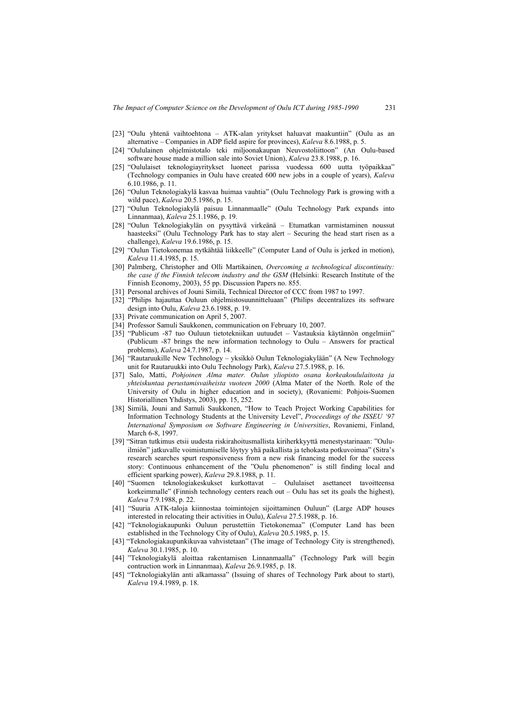- [23] "Oulu yhtenä vaihtoehtona ATK-alan yritykset haluavat maakuntiin" (Oulu as an alternative – Companies in ADP field aspire for provinces), *Kaleva* 8.6.1988, p. 5.
- [24] "Oululainen ohjelmistotalo teki miljoonakaupan Neuvostoliittoon" (An Oulu-based software house made a million sale into Soviet Union), *Kaleva* 23.8.1988, p. 16.
- [25] "Oululaiset teknologiayritykset luoneet parissa vuodessa 600 uutta työpaikkaa" (Technology companies in Oulu have created 600 new jobs in a couple of years), *Kaleva* 6.10.1986, p. 11.
- [26] "Oulun Teknologiakylä kasvaa huimaa vauhtia" (Oulu Technology Park is growing with a wild pace), *Kaleva* 20.5.1986, p. 15.
- [27] "Oulun Teknologiakylä paisuu Linnanmaalle" (Oulu Technology Park expands into Linnanmaa), *Kaleva* 25.1.1986, p. 19.
- [28] "Oulun Teknologiakylän on pysyttävä virkeänä Etumatkan varmistaminen noussut haasteeksi" (Oulu Technology Park has to stay alert – Securing the head start risen as a challenge), *Kaleva* 19.6.1986, p. 15.
- [29] "Oulun Tietokonemaa nytkähtää liikkeelle" (Computer Land of Oulu is jerked in motion), *Kaleva* 11.4.1985, p. 15.
- [30] Palmberg, Christopher and Olli Martikainen, *Overcoming a technological discontinuity: the case if the Finnish telecom industry and the GSM* (Helsinki: Research Institute of the Finnish Economy, 2003), 55 pp. Discussion Papers no. 855.
- [31] Personal archives of Jouni Similä, Technical Director of CCC from 1987 to 1997.
- [32] "Philips hajauttaa Ouluun ohjelmistosuunnitteluaan" (Philips decentralizes its software design into Oulu, *Kaleva* 23.6.1988, p. 19.
- [33] Private communication on April 5, 2007.
- [34] Professor Samuli Saukkonen, communication on February 10, 2007.
- [35] "Publicum -87 tuo Ouluun tietotekniikan uutuudet Vastauksia käytännön ongelmiin" (Publicum -87 brings the new information technology to Oulu – Answers for practical problems), *Kaleva* 24.7.1987, p. 14.
- [36] "Rautaruukille New Technology yksikkö Oulun Teknologiakylään" (A New Technology unit for Rautaruukki into Oulu Technology Park), *Kaleva* 27.5.1988, p. 16.
- [37] Salo, Matti, *Pohjoinen Alma mater. Oulun yliopisto osana korkeakoululaitosta ja yhteiskuntaa perustamisvaiheista vuoteen 2000* (Alma Mater of the North. Role of the University of Oulu in higher education and in society), (Rovaniemi: Pohjois-Suomen Historiallinen Yhdistys, 2003), pp. 15, 252.
- [38] Similä, Jouni and Samuli Saukkonen, "How to Teach Project Working Capabilities for Information Technology Students at the University Level", *Proceedings of the ISSEU '97 International Symposium on Software Engineering in Universities*, Rovaniemi, Finland, March 6-8, 1997.
- [39] "Sitran tutkimus etsii uudesta riskirahoitusmallista kiriherkkyyttä menestystarinaan: "Ouluilmiön" jatkuvalle voimistumiselle löytyy yhä paikallista ja tehokasta potkuvoimaa" (Sitra's research searches spurt responsiveness from a new risk financing model for the success story: Continuous enhancement of the "Oulu phenomenon" is still finding local and efficient sparking power), *Kaleva* 29.8.1988, p. 11.
- [40] "Suomen teknologiakeskukset kurkottavat Oululaiset asettaneet tavoitteensa korkeimmalle" (Finnish technology centers reach out – Oulu has set its goals the highest), *Kaleva* 7.9.1988, p. 22.
- [41] "Suuria ATK-taloja kiinnostaa toimintojen sijoittaminen Ouluun" (Large ADP houses interested in relocating their activities in Oulu), *Kaleva* 27.5.1988, p. 16.
- [42] "Teknologiakaupunki Ouluun perustettiin Tietokonemaa" (Computer Land has been established in the Technology City of Oulu), *Kaleva* 20.5.1985, p. 15.
- [43] "Teknologiakaupunkikuvaa vahvistetaan" (The image of Technology City is strengthened), *Kaleva* 30.1.1985, p. 10.
- [44] "Teknologiakylä aloittaa rakentamisen Linnanmaalla" (Technology Park will begin contruction work in Linnanmaa), *Kaleva* 26.9.1985, p. 18.
- [45] "Teknologiakylän anti alkamassa" (Issuing of shares of Technology Park about to start), *Kaleva* 19.4.1989, p. 18.